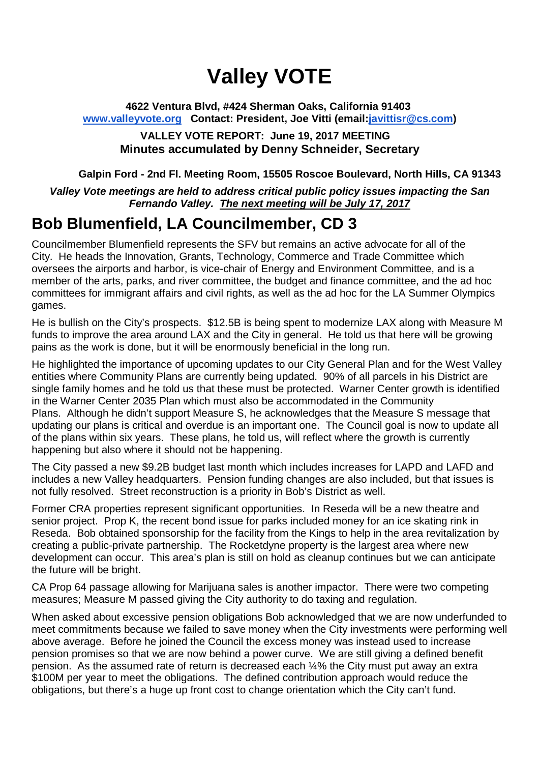# **Valley VOTE**

### **4622 Ventura Blvd, #424 Sherman Oaks, California 91403 www.valleyvote.org Contact: President, Joe Vitti (email:javittisr@cs.com)**

### **VALLEY VOTE REPORT: June 19, 2017 MEETING Minutes accumulated by Denny Schneider, Secretary**

### **Galpin Ford - 2nd Fl. Meeting Room, 15505 Roscoe Boulevard, North Hills, CA 91343**

### *Valley Vote meetings are held to address critical public policy issues impacting the San Fernando Valley. The next meeting will be July 17, 2017*

### **Bob Blumenfield, LA Councilmember, CD 3**

Councilmember Blumenfield represents the SFV but remains an active advocate for all of the City. He heads the Innovation, Grants, Technology, Commerce and Trade Committee which oversees the airports and harbor, is vice-chair of Energy and Environment Committee, and is a member of the arts, parks, and river committee, the budget and finance committee, and the ad hoc committees for immigrant affairs and civil rights, as well as the ad hoc for the LA Summer Olympics games.

He is bullish on the City's prospects. \$12.5B is being spent to modernize LAX along with Measure M funds to improve the area around LAX and the City in general. He told us that here will be growing pains as the work is done, but it will be enormously beneficial in the long run.

He highlighted the importance of upcoming updates to our City General Plan and for the West Valley entities where Community Plans are currently being updated. 90% of all parcels in his District are single family homes and he told us that these must be protected. Warner Center growth is identified in the Warner Center 2035 Plan which must also be accommodated in the Community Plans. Although he didn't support Measure S, he acknowledges that the Measure S message that updating our plans is critical and overdue is an important one. The Council goal is now to update all of the plans within six years. These plans, he told us, will reflect where the growth is currently happening but also where it should not be happening.

The City passed a new \$9.2B budget last month which includes increases for LAPD and LAFD and includes a new Valley headquarters. Pension funding changes are also included, but that issues is not fully resolved. Street reconstruction is a priority in Bob's District as well.

Former CRA properties represent significant opportunities. In Reseda will be a new theatre and senior project. Prop K, the recent bond issue for parks included money for an ice skating rink in Reseda. Bob obtained sponsorship for the facility from the Kings to help in the area revitalization by creating a public-private partnership. The Rocketdyne property is the largest area where new development can occur. This area's plan is still on hold as cleanup continues but we can anticipate the future will be bright.

CA Prop 64 passage allowing for Marijuana sales is another impactor. There were two competing measures; Measure M passed giving the City authority to do taxing and regulation.

When asked about excessive pension obligations Bob acknowledged that we are now underfunded to meet commitments because we failed to save money when the City investments were performing well above average. Before he joined the Council the excess money was instead used to increase pension promises so that we are now behind a power curve. We are still giving a defined benefit pension. As the assumed rate of return is decreased each ¼% the City must put away an extra \$100M per year to meet the obligations. The defined contribution approach would reduce the obligations, but there's a huge up front cost to change orientation which the City can't fund.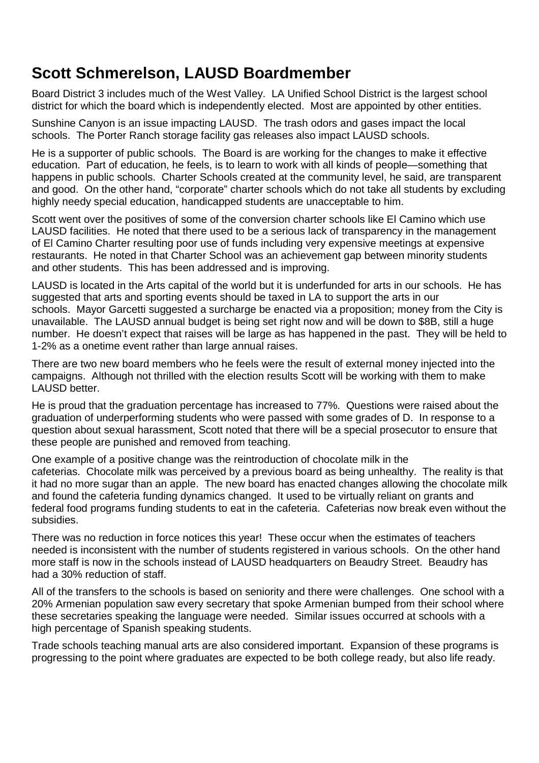## **Scott Schmerelson, LAUSD Boardmember**

Board District 3 includes much of the West Valley. LA Unified School District is the largest school district for which the board which is independently elected. Most are appointed by other entities.

Sunshine Canyon is an issue impacting LAUSD. The trash odors and gases impact the local schools. The Porter Ranch storage facility gas releases also impact LAUSD schools.

He is a supporter of public schools. The Board is are working for the changes to make it effective education. Part of education, he feels, is to learn to work with all kinds of people—something that happens in public schools. Charter Schools created at the community level, he said, are transparent and good. On the other hand, "corporate" charter schools which do not take all students by excluding highly needy special education, handicapped students are unacceptable to him.

Scott went over the positives of some of the conversion charter schools like El Camino which use LAUSD facilities. He noted that there used to be a serious lack of transparency in the management of El Camino Charter resulting poor use of funds including very expensive meetings at expensive restaurants. He noted in that Charter School was an achievement gap between minority students and other students. This has been addressed and is improving.

LAUSD is located in the Arts capital of the world but it is underfunded for arts in our schools. He has suggested that arts and sporting events should be taxed in LA to support the arts in our schools. Mayor Garcetti suggested a surcharge be enacted via a proposition; money from the City is unavailable. The LAUSD annual budget is being set right now and will be down to \$8B, still a huge number. He doesn't expect that raises will be large as has happened in the past. They will be held to 1-2% as a onetime event rather than large annual raises.

There are two new board members who he feels were the result of external money injected into the campaigns. Although not thrilled with the election results Scott will be working with them to make LAUSD better.

He is proud that the graduation percentage has increased to 77%. Questions were raised about the graduation of underperforming students who were passed with some grades of D. In response to a question about sexual harassment, Scott noted that there will be a special prosecutor to ensure that these people are punished and removed from teaching.

One example of a positive change was the reintroduction of chocolate milk in the cafeterias. Chocolate milk was perceived by a previous board as being unhealthy. The reality is that it had no more sugar than an apple. The new board has enacted changes allowing the chocolate milk and found the cafeteria funding dynamics changed. It used to be virtually reliant on grants and federal food programs funding students to eat in the cafeteria. Cafeterias now break even without the subsidies.

There was no reduction in force notices this year! These occur when the estimates of teachers needed is inconsistent with the number of students registered in various schools. On the other hand more staff is now in the schools instead of LAUSD headquarters on Beaudry Street. Beaudry has had a 30% reduction of staff.

All of the transfers to the schools is based on seniority and there were challenges. One school with a 20% Armenian population saw every secretary that spoke Armenian bumped from their school where these secretaries speaking the language were needed. Similar issues occurred at schools with a high percentage of Spanish speaking students.

Trade schools teaching manual arts are also considered important. Expansion of these programs is progressing to the point where graduates are expected to be both college ready, but also life ready.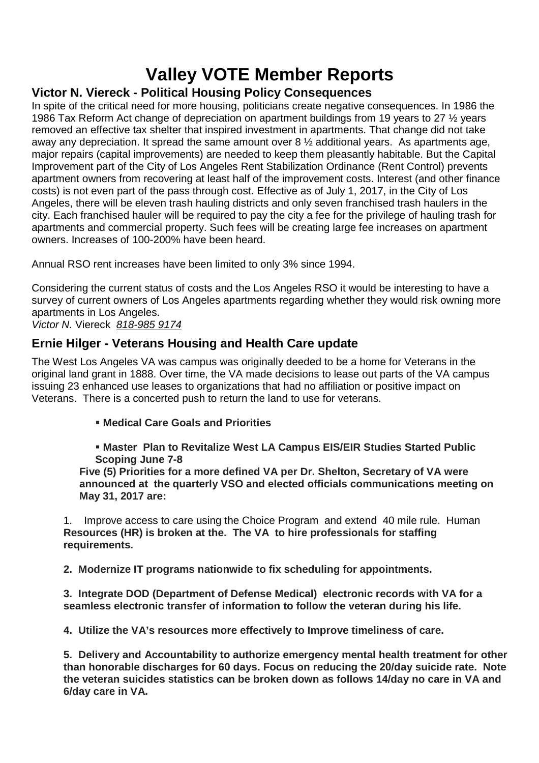# **Valley VOTE Member Reports**

### **Victor N. Viereck - Political Housing Policy Consequences**

In spite of the critical need for more housing, politicians create negative consequences. In 1986 the 1986 Tax Reform Act change of depreciation on apartment buildings from 19 years to 27 ½ years removed an effective tax shelter that inspired investment in apartments. That change did not take away any depreciation. It spread the same amount over 8 ½ additional years. As apartments age, major repairs (capital improvements) are needed to keep them pleasantly habitable. But the Capital Improvement part of the City of Los Angeles Rent Stabilization Ordinance (Rent Control) prevents apartment owners from recovering at least half of the improvement costs. Interest (and other finance costs) is not even part of the pass through cost. Effective as of July 1, 2017, in the City of Los Angeles, there will be eleven trash hauling districts and only seven franchised trash haulers in the city. Each franchised hauler will be required to pay the city a fee for the privilege of hauling trash for apartments and commercial property. Such fees will be creating large fee increases on apartment owners. Increases of 100-200% have been heard.

Annual RSO rent increases have been limited to only 3% since 1994.

Considering the current status of costs and the Los Angeles RSO it would be interesting to have a survey of current owners of Los Angeles apartments regarding whether they would risk owning more apartments in Los Angeles.

*Victor N.* Viereck *818-985 9174*

### **Ernie Hilger - Veterans Housing and Health Care update**

The West Los Angeles VA was campus was originally deeded to be a home for Veterans in the original land grant in 1888. Over time, the VA made decisions to lease out parts of the VA campus issuing 23 enhanced use leases to organizations that had no affiliation or positive impact on Veterans. There is a concerted push to return the land to use for veterans.

**Medical Care Goals and Priorities**

 **Master Plan to Revitalize West LA Campus EIS/EIR Studies Started Public Scoping June 7-8**

**Five (5) Priorities for a more defined VA per Dr. Shelton, Secretary of VA were announced at the quarterly VSO and elected officials communications meeting on May 31, 2017 are:**

1. Improve access to care using the Choice Program and extend 40 mile rule. Human **Resources (HR) is broken at the. The VA to hire professionals for staffing requirements.**

**2. Modernize IT programs nationwide to fix scheduling for appointments.**

**3. Integrate DOD (Department of Defense Medical) electronic records with VA for a seamless electronic transfer of information to follow the veteran during his life.**

**4. Utilize the VA's resources more effectively to Improve timeliness of care.**

**5. Delivery and Accountability to authorize emergency mental health treatment for other than honorable discharges for 60 days. Focus on reducing the 20/day suicide rate. Note the veteran suicides statistics can be broken down as follows 14/day no care in VA and 6/day care in VA.**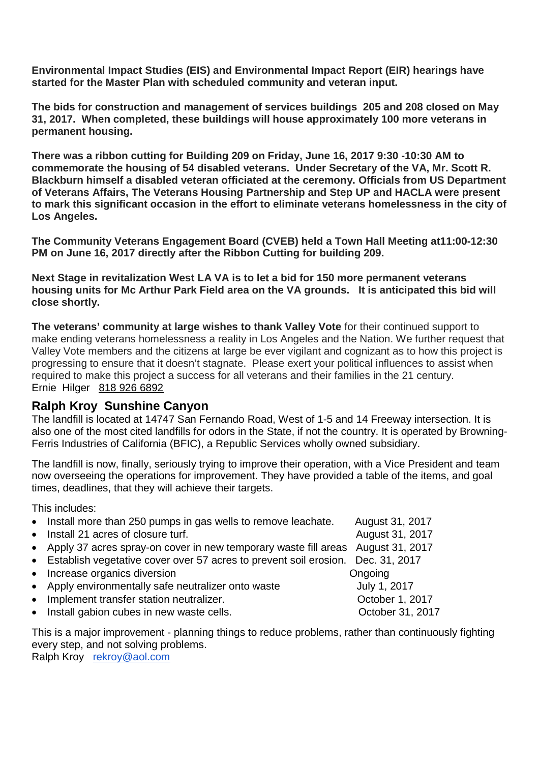**Environmental Impact Studies (EIS) and Environmental Impact Report (EIR) hearings have started for the Master Plan with scheduled community and veteran input.**

**The bids for construction and management of services buildings 205 and 208 closed on May 31, 2017. When completed, these buildings will house approximately 100 more veterans in permanent housing.**

**There was a ribbon cutting for Building 209 on Friday, June 16, 2017 9:30 -10:30 AM to commemorate the housing of 54 disabled veterans. Under Secretary of the VA, Mr. Scott R. Blackburn himself a disabled veteran officiated at the ceremony. Officials from US Department of Veterans Affairs, The Veterans Housing Partnership and Step UP and HACLA were present to mark this significant occasion in the effort to eliminate veterans homelessness in the city of Los Angeles.**

**The Community Veterans Engagement Board (CVEB) held a Town Hall Meeting at11:00-12:30 PM on June 16, 2017 directly after the Ribbon Cutting for building 209.**

**Next Stage in revitalization West LA VA is to let a bid for 150 more permanent veterans housing units for Mc Arthur Park Field area on the VA grounds. It is anticipated this bid will close shortly.**

**The veterans' community at large wishes to thank Valley Vote** for their continued support to make ending veterans homelessness a reality in Los Angeles and the Nation. We further request that Valley Vote members and the citizens at large be ever vigilant and cognizant as to how this project is progressing to ensure that it doesn't stagnate. Please exert your political influences to assist when required to make this project a success for all veterans and their families in the 21 century. Ernie Hilger 818 926 6892

### **Ralph Kroy Sunshine Canyon**

The landfill is located at 14747 San Fernando Road, West of 1-5 and 14 Freeway intersection. It is also one of the most cited landfills for odors in the State, if not the country. It is operated by Browning-Ferris Industries of California (BFIC), a Republic Services wholly owned subsidiary.

The landfill is now, finally, seriously trying to improve their operation, with a Vice President and team now overseeing the operations for improvement. They have provided a table of the items, and goal times, deadlines, that they will achieve their targets.

This includes:

| • Install more than 250 pumps in gas wells to remove leachate.                    | August 31, 2017  |
|-----------------------------------------------------------------------------------|------------------|
| • Install 21 acres of closure turf.                                               | August 31, 2017  |
| • Apply 37 acres spray-on cover in new temporary waste fill areas August 31, 2017 |                  |
| • Establish vegetative cover over 57 acres to prevent soil erosion. Dec. 31, 2017 |                  |
| • Increase organics diversion                                                     | Ongoing          |
| • Apply environmentally safe neutralizer onto waste                               | July 1, 2017     |
| • Implement transfer station neutralizer.                                         | October 1, 2017  |
| • Install gabion cubes in new waste cells.                                        | October 31, 2017 |

This is a major improvement - planning things to reduce problems, rather than continuously fighting every step, and not solving problems.

Ralph Kroy rekroy@aol.com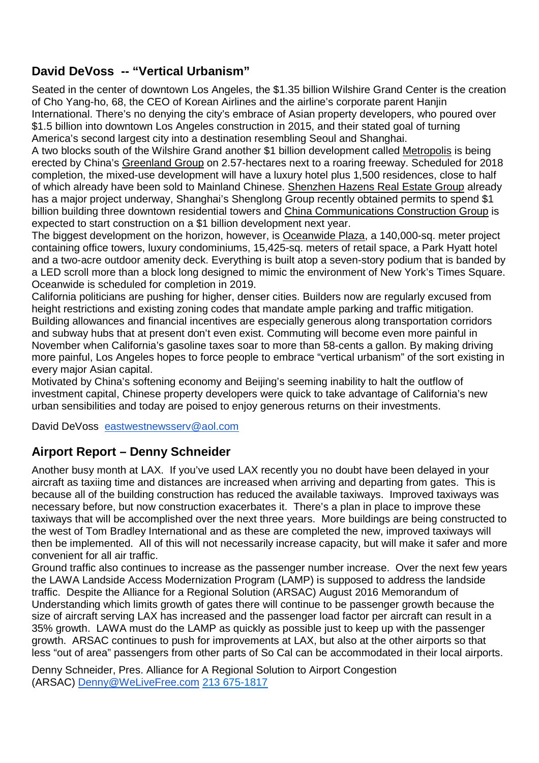### **David DeVoss -- "Vertical Urbanism"**

Seated in the center of downtown Los Angeles, the \$1.35 billion Wilshire Grand Center is the creation of Cho Yang-ho, 68, the CEO of Korean Airlines and the airline's corporate parent Hanjin International. There's no denying the city's embrace of Asian property developers, who poured over \$1.5 billion into downtown Los Angeles construction in 2015, and their stated goal of turning America's second largest city into a destination resembling Seoul and Shanghai.

A two blocks south of the Wilshire Grand another \$1 billion development called Metropolis is being erected by China's Greenland Group on 2.57-hectares next to a roaring freeway. Scheduled for 2018 completion, the mixed-use development will have a luxury hotel plus 1,500 residences, close to half of which already have been sold to Mainland Chinese. Shenzhen Hazens Real Estate Group already has a major project underway, Shanghai's Shenglong Group recently obtained permits to spend \$1 billion building three downtown residential towers and China Communications Construction Group is expected to start construction on a \$1 billion development next year.

The biggest development on the horizon, however, is Oceanwide Plaza, a 140,000-sq. meter project containing office towers, luxury condominiums, 15,425-sq. meters of retail space, a Park Hyatt hotel and a two-acre outdoor amenity deck. Everything is built atop a seven-story podium that is banded by a LED scroll more than a block long designed to mimic the environment of New York's Times Square. Oceanwide is scheduled for completion in 2019.

California politicians are pushing for higher, denser cities. Builders now are regularly excused from height restrictions and existing zoning codes that mandate ample parking and traffic mitigation. Building allowances and financial incentives are especially generous along transportation corridors and subway hubs that at present don't even exist. Commuting will become even more painful in November when California's gasoline taxes soar to more than 58-cents a gallon. By making driving more painful, Los Angeles hopes to force people to embrace "vertical urbanism" of the sort existing in every major Asian capital.

Motivated by China's softening economy and Beijing's seeming inability to halt the outflow of investment capital, Chinese property developers were quick to take advantage of California's new urban sensibilities and today are poised to enjoy generous returns on their investments.

David DeVoss eastwestnewsserv@aol.com

### **Airport Report – Denny Schneider**

Another busy month at LAX. If you've used LAX recently you no doubt have been delayed in your aircraft as taxiing time and distances are increased when arriving and departing from gates. This is because all of the building construction has reduced the available taxiways. Improved taxiways was necessary before, but now construction exacerbates it. There's a plan in place to improve these taxiways that will be accomplished over the next three years. More buildings are being constructed to the west of Tom Bradley International and as these are completed the new, improved taxiways will then be implemented. All of this will not necessarily increase capacity, but will make it safer and more convenient for all air traffic.

Ground traffic also continues to increase as the passenger number increase. Over the next few years the LAWA Landside Access Modernization Program (LAMP) is supposed to address the landside traffic. Despite the Alliance for a Regional Solution (ARSAC) August 2016 Memorandum of Understanding which limits growth of gates there will continue to be passenger growth because the size of aircraft serving LAX has increased and the passenger load factor per aircraft can result in a 35% growth. LAWA must do the LAMP as quickly as possible just to keep up with the passenger growth. ARSAC continues to push for improvements at LAX, but also at the other airports so that less "out of area" passengers from other parts of So Cal can be accommodated in their local airports.

Denny Schneider, Pres. Alliance for A Regional Solution to Airport Congestion (ARSAC) Denny@WeLiveFree.com 213 675-1817